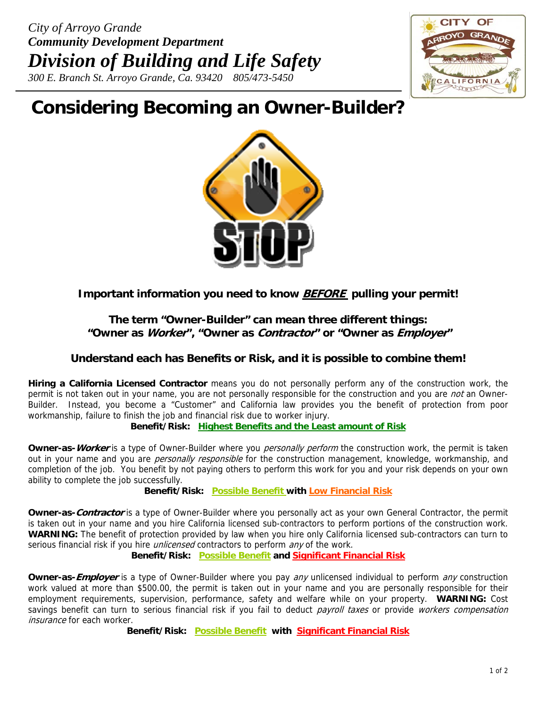

# **Considering Becoming an Owner-Builder?**



# **Important information you need to know BEFORE pulling your permit!**

## **The term "Owner-Builder" can mean three different things: "Owner as Worker", "Owner as Contractor" or "Owner as Employer"**

## **Understand each has Benefits or Risk, and it is possible to combine them!**

**Hiring a California Licensed Contractor** means you do not personally perform any of the construction work, the permit is not taken out in your name, you are not personally responsible for the construction and you are *not* an Owner-Builder. Instead, you become a "Customer" and California law provides you the benefit of protection from poor workmanship, failure to finish the job and financial risk due to worker injury.

#### **Benefit/Risk: Highest Benefits and the Least amount of Risk**

**Owner-as-***Worker* is a type of Owner-Builder where you *personally perform* the construction work, the permit is taken out in your name and you are *personally responsible* for the construction management, knowledge, workmanship, and completion of the job. You benefit by not paying others to perform this work for you and your risk depends on your own ability to complete the job successfully.

**Benefit/Risk: Possible Benefit with Low Financial Risk**

**Owner-as-Contractor** is a type of Owner-Builder where you personally act as your own General Contractor, the permit is taken out in your name and you hire California licensed sub-contractors to perform portions of the construction work. **WARNING:** The benefit of protection provided by law when you hire only California licensed sub-contractors can turn to serious financial risk if you hire *unlicensed* contractors to perform any of the work.

## **Benefit/Risk: Possible Benefit and Significant Financial Risk**

**Owner-as-Employer** is a type of Owner-Builder where you pay any unlicensed individual to perform any construction work valued at more than \$500.00, the permit is taken out in your name and you are personally responsible for their employment requirements, supervision, performance, safety and welfare while on your property. **WARNING:** Cost savings benefit can turn to serious financial risk if you fail to deduct payroll taxes or provide workers compensation insurance for each worker.

**Benefit/Risk: Possible Benefit with Significant Financial Risk**